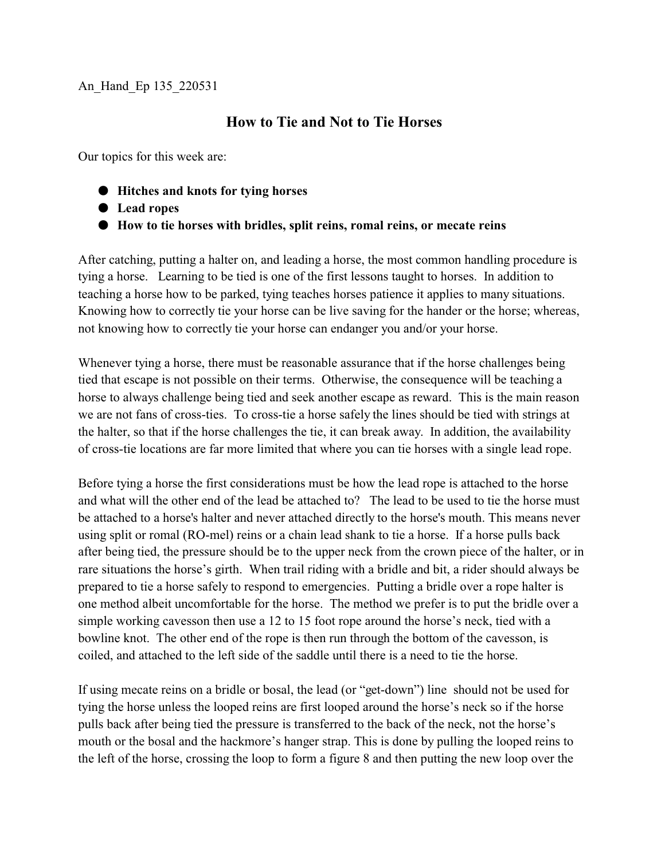## An\_Hand\_Ep 135\_220531

## **How to Tie and Not to Tie Horses**

Our topics for this week are:

- $\bullet$  Hitches and knots for tying horses
- $\bullet$  Lead ropes
- M **How to tie horses with bridles, split reins, romal reins, or mecate reins**

After catching, putting a halter on, and leading a horse, the most common handling procedure is tying a horse. Learning to be tied is one of the first lessons taught to horses. In addition to teaching a horse how to be parked, tying teaches horses patience it applies to many situations. Knowing how to correctly tie your horse can be live saving for the hander or the horse; whereas, not knowing how to correctly tie your horse can endanger you and/or your horse.

Whenever tying a horse, there must be reasonable assurance that if the horse challenges being tied that escape is not possible on their terms. Otherwise, the consequence will be teaching a horse to always challenge being tied and seek another escape as reward. This is the main reason we are not fans of cross-ties. To cross-tie a horse safely the lines should be tied with strings at the halter, so that if the horse challenges the tie, it can break away. In addition, the availability of cross-tie locations are far more limited that where you can tie horses with a single lead rope.

Before tying a horse the first considerations must be how the lead rope is attached to the horse and what will the other end of the lead be attached to? The lead to be used to tie the horse must be attached to a horse's halter and never attached directly to the horse's mouth. This means never using split or romal (RO-mel) reins or a chain lead shank to tie a horse. If a horse pulls back after being tied, the pressure should be to the upper neck from the crown piece of the halter, or in rare situations the horse's girth. When trail riding with a bridle and bit, a rider should always be prepared to tie a horse safely to respond to emergencies. Putting a bridle over a rope halter is one method albeit uncomfortable for the horse. The method we prefer is to put the bridle over a simple working cavesson then use a 12 to 15 foot rope around the horse's neck, tied with a bowline knot. The other end of the rope is then run through the bottom of the cavesson, is coiled, and attached to the left side of the saddle until there is a need to tie the horse.

If using mecate reins on a bridle or bosal, the lead (or "get-down") line should not be used for tying the horse unless the looped reins are first looped around the horse's neck so if the horse pulls back after being tied the pressure is transferred to the back of the neck, not the horse's mouth or the bosal and the hackmore's hanger strap. This is done by pulling the looped reins to the left of the horse, crossing the loop to form a figure 8 and then putting the new loop over the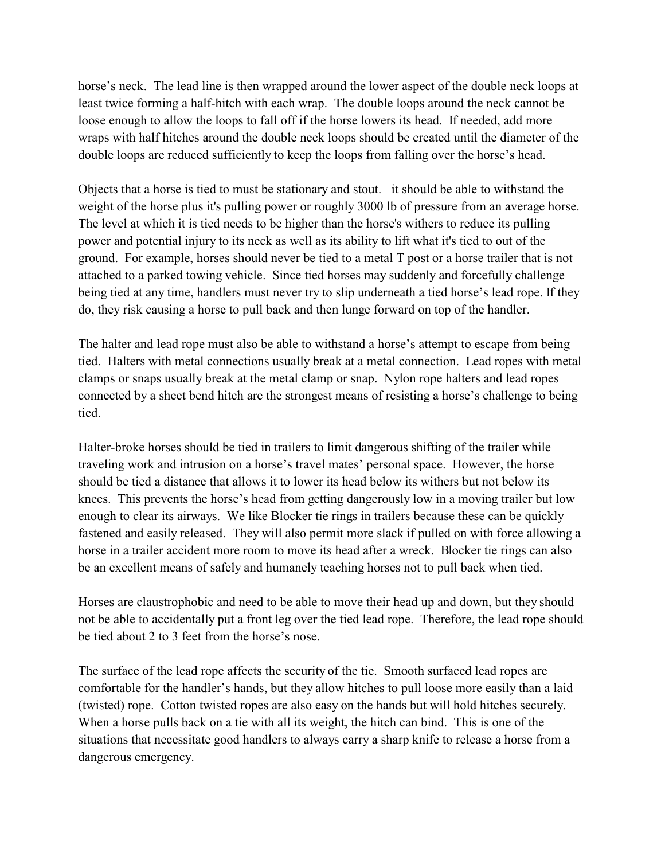horse's neck. The lead line is then wrapped around the lower aspect of the double neck loops at least twice forming a half-hitch with each wrap. The double loops around the neck cannot be loose enough to allow the loops to fall off if the horse lowers its head. If needed, add more wraps with half hitches around the double neck loops should be created until the diameter of the double loops are reduced sufficiently to keep the loops from falling over the horse's head.

Objects that a horse is tied to must be stationary and stout. it should be able to withstand the weight of the horse plus it's pulling power or roughly 3000 lb of pressure from an average horse. The level at which it is tied needs to be higher than the horse's withers to reduce its pulling power and potential injury to its neck as well as its ability to lift what it's tied to out of the ground. For example, horses should never be tied to a metal T post or a horse trailer that is not attached to a parked towing vehicle. Since tied horses may suddenly and forcefully challenge being tied at any time, handlers must never try to slip underneath a tied horse's lead rope. If they do, they risk causing a horse to pull back and then lunge forward on top of the handler.

The halter and lead rope must also be able to withstand a horse's attempt to escape from being tied. Halters with metal connections usually break at a metal connection. Lead ropes with metal clamps or snaps usually break at the metal clamp or snap. Nylon rope halters and lead ropes connected by a sheet bend hitch are the strongest means of resisting a horse's challenge to being tied.

Halter-broke horses should be tied in trailers to limit dangerous shifting of the trailer while traveling work and intrusion on a horse's travel mates' personal space. However, the horse should be tied a distance that allows it to lower its head below its withers but not below its knees. This prevents the horse's head from getting dangerously low in a moving trailer but low enough to clear its airways. We like Blocker tie rings in trailers because these can be quickly fastened and easily released. They will also permit more slack if pulled on with force allowing a horse in a trailer accident more room to move its head after a wreck. Blocker tie rings can also be an excellent means of safely and humanely teaching horses not to pull back when tied.

Horses are claustrophobic and need to be able to move their head up and down, but they should not be able to accidentally put a front leg over the tied lead rope. Therefore, the lead rope should be tied about 2 to 3 feet from the horse's nose.

The surface of the lead rope affects the security of the tie. Smooth surfaced lead ropes are comfortable for the handler's hands, but they allow hitches to pull loose more easily than a laid (twisted) rope. Cotton twisted ropes are also easy on the hands but will hold hitches securely. When a horse pulls back on a tie with all its weight, the hitch can bind. This is one of the situations that necessitate good handlers to always carry a sharp knife to release a horse from a dangerous emergency.